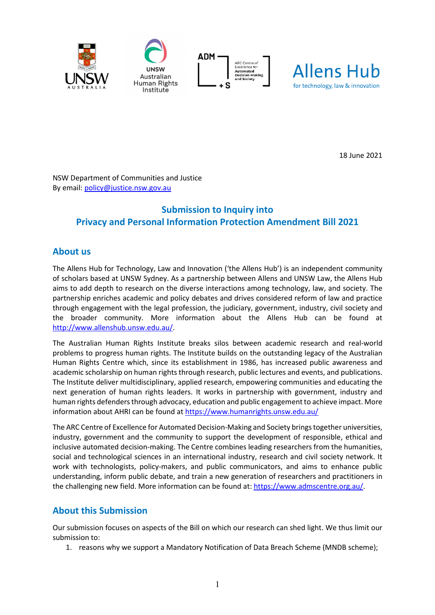







18 June 2021

NSW Department of Communities and Justice By email: [policy@justice.nsw.gov.au](mailto:policy@justice.nsw.gov.au)

# **Submission to Inquiry into Privacy and Personal Information Protection Amendment Bill 2021**

## **About us**

The Allens Hub for Technology, Law and Innovation ('the Allens Hub') is an independent community of scholars based at UNSW Sydney. As a partnership between Allens and UNSW Law, the Allens Hub aims to add depth to research on the diverse interactions among technology, law, and society. The partnership enriches academic and policy debates and drives considered reform of law and practice through engagement with the legal profession, the judiciary, government, industry, civil society and the broader community. More information about the Allens Hub can be found at [http://www.allenshub.unsw.edu.au/.](http://www.allenshub.unsw.edu.au/)

The Australian Human Rights Institute breaks silos between academic research and real-world problems to progress human rights. The Institute builds on the outstanding legacy of the Australian Human Rights Centre which, since its establishment in 1986, has increased public awareness and academic scholarship on human rights through research, public lectures and events, and publications. The Institute deliver multidisciplinary, applied research, empowering communities and educating the next generation of human rights leaders. It works in partnership with government, industry and human rights defenders through advocacy, education and public engagement to achieve impact. More information about AHRI can be found at<https://www.humanrights.unsw.edu.au/>

The ARC Centre of Excellence for Automated Decision-Making and Society brings together universities, industry, government and the community to support the development of responsible, ethical and inclusive automated decision-making. The Centre combines leading researchers from the humanities, social and technological sciences in an international industry, research and civil society network. It work with technologists, policy-makers, and public communicators, and aims to enhance public understanding, inform public debate, and train a new generation of researchers and practitioners in the challenging new field. More information can be found at: [https://www.admscentre.org.au/.](https://www.admscentre.org.au/)

## **About this Submission**

Our submission focuses on aspects of the Bill on which our research can shed light. We thus limit our submission to:

1. reasons why we support a Mandatory Notification of Data Breach Scheme (MNDB scheme);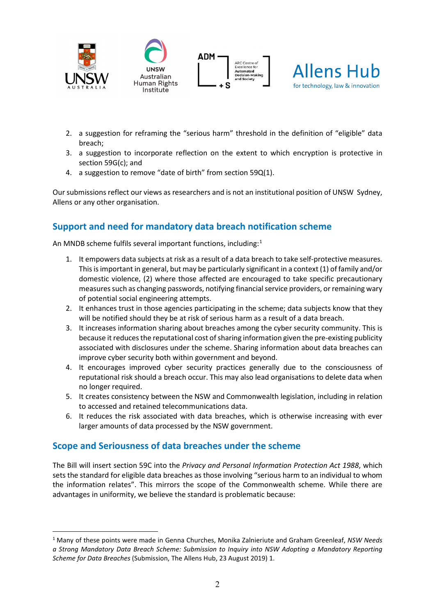







- 2. a suggestion for reframing the "serious harm" threshold in the definition of "eligible" data breach;
- 3. a suggestion to incorporate reflection on the extent to which encryption is protective in section 59G(c); and
- 4. a suggestion to remove "date of birth" from section 59Q(1).

Our submissions reflect our views as researchers and is not an institutional position of UNSW Sydney, Allens or any other organisation.

## **Support and need for mandatory data breach notification scheme**

An MNDB scheme fulfils several important functions, including:<sup>[1](#page-1-0)</sup>

- 1. It empowers data subjects at risk as a result of a data breach to take self-protective measures. This is important in general, but may be particularly significant in a context (1) of family and/or domestic violence, (2) where those affected are encouraged to take specific precautionary measures such as changing passwords, notifying financial service providers, or remaining wary of potential social engineering attempts.
- 2. It enhances trust in those agencies participating in the scheme; data subjects know that they will be notified should they be at risk of serious harm as a result of a data breach.
- 3. It increases information sharing about breaches among the cyber security community. This is because it reduces the reputational cost of sharing information given the pre-existing publicity associated with disclosures under the scheme. Sharing information about data breaches can improve cyber security both within government and beyond.
- 4. It encourages improved cyber security practices generally due to the consciousness of reputational risk should a breach occur. This may also lead organisations to delete data when no longer required.
- 5. It creates consistency between the NSW and Commonwealth legislation, including in relation to accessed and retained telecommunications data.
- 6. It reduces the risk associated with data breaches, which is otherwise increasing with ever larger amounts of data processed by the NSW government.

## **Scope and Seriousness of data breaches under the scheme**

The Bill will insert section 59C into the *Privacy and Personal Information Protection Act 1988*, which sets the standard for eligible data breaches as those involving "serious harm to an individual to whom the information relates". This mirrors the scope of the Commonwealth scheme. While there are advantages in uniformity, we believe the standard is problematic because:

<span id="page-1-0"></span><sup>1</sup> Many of these points were made in Genna Churches, Monika Zalnieriute and Graham Greenleaf, *NSW Needs a Strong Mandatory Data Breach Scheme: Submission to Inquiry into NSW Adopting a Mandatory Reporting Scheme for Data Breaches* (Submission, The Allens Hub, 23 August 2019) 1.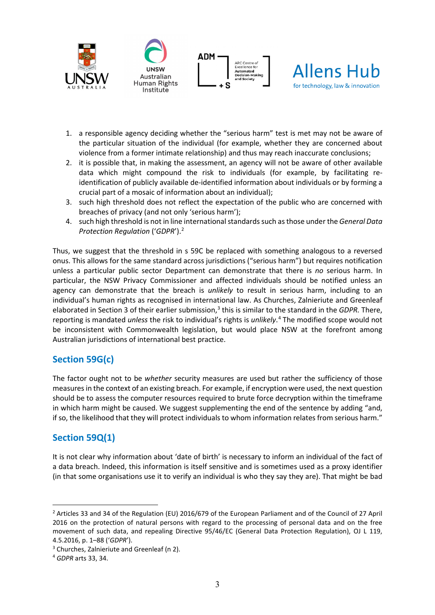

- 1. a responsible agency deciding whether the "serious harm" test is met may not be aware of the particular situation of the individual (for example, whether they are concerned about violence from a former intimate relationship) and thus may reach inaccurate conclusions;
- 2. it is possible that, in making the assessment, an agency will not be aware of other available data which might compound the risk to individuals (for example, by facilitating reidentification of publicly available de-identified information about individuals or by forming a crucial part of a mosaic of information about an individual);
- 3. such high threshold does not reflect the expectation of the public who are concerned with breaches of privacy (and not only 'serious harm');
- 4. such high threshold is not in line international standards such as those under the *General Data Protection Regulation* ('*GDPR*').[2](#page-2-0)

Thus, we suggest that the threshold in s 59C be replaced with something analogous to a reversed onus. This allows for the same standard across jurisdictions ("serious harm") but requires notification unless a particular public sector Department can demonstrate that there is *no* serious harm. In particular, the NSW Privacy Commissioner and affected individuals should be notified unless an agency can demonstrate that the breach is *unlikely* to result in serious harm, including to an individual's human rights as recognised in international law. As Churches, Zalnieriute and Greenleaf elaborated in Section 3 of their earlier submission,[3](#page-2-1) this is similar to the standard in the *GDPR.* There, reporting is mandated *unless* the risk to individual's rights is *unlikely*. [4](#page-2-2) The modified scope would not be inconsistent with Commonwealth legislation, but would place NSW at the forefront among Australian jurisdictions of international best practice.

## **Section 59G(c)**

The factor ought not to be *whether* security measures are used but rather the sufficiency of those measures in the context of an existing breach. For example, if encryption were used, the next question should be to assess the computer resources required to brute force decryption within the timeframe in which harm might be caused. We suggest supplementing the end of the sentence by adding "and, if so, the likelihood that they will protect individuals to whom information relates from serious harm."

## **Section 59Q(1)**

It is not clear why information about 'date of birth' is necessary to inform an individual of the fact of a data breach. Indeed, this information is itself sensitive and is sometimes used as a proxy identifier (in that some organisations use it to verify an individual is who they say they are). That might be bad

<span id="page-2-0"></span><sup>2</sup> Articles 33 and 34 of the Regulation (EU) 2016/679 of the European Parliament and of the Council of 27 April 2016 on the protection of natural persons with regard to the processing of personal data and on the free movement of such data, and repealing Directive 95/46/EC (General Data Protection Regulation), OJ L 119, 4.5.2016, p. 1–88 ('*GDPR*').

<span id="page-2-1"></span><sup>&</sup>lt;sup>3</sup> Churches, Zalnieriute and Greenleaf (n 2).

<span id="page-2-2"></span><sup>4</sup> *GDPR* arts 33, 34.